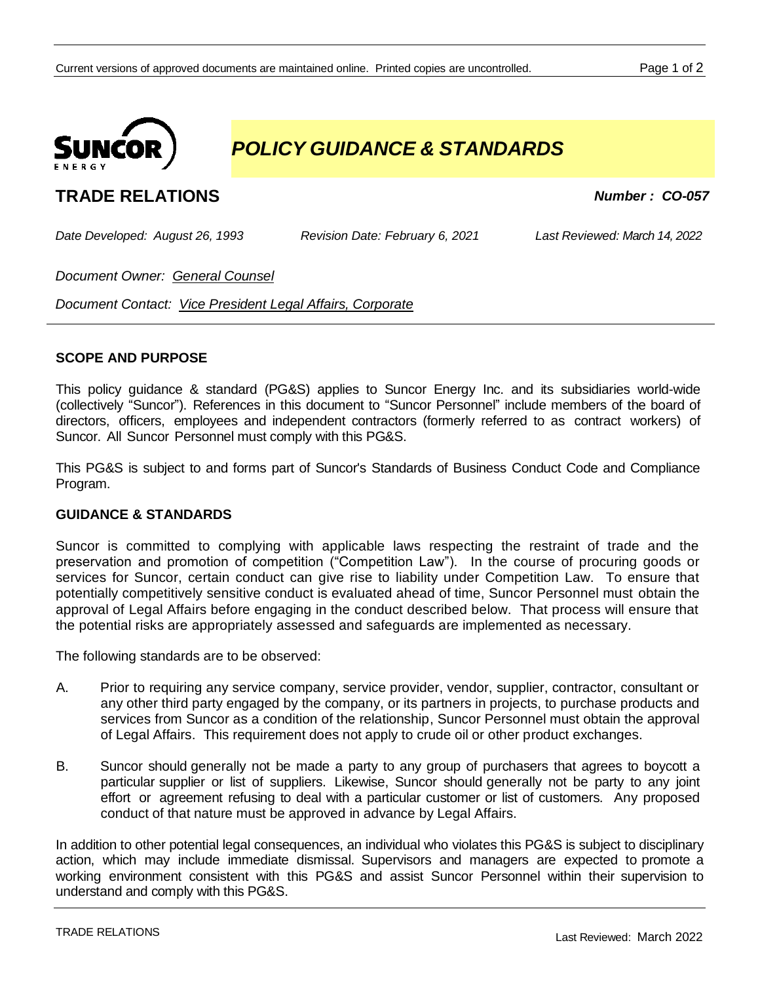

# *POLICY GUIDANCE & STANDARDS*

# **TRADE RELATIONS** *Number : CO-057*

*Date Developed: August 26, 1993 Revision Date: February 6, 2021 Last Reviewed: March 14, 2022*

*Document Owner: General Counsel*

*Document Contact: Vice President Legal Affairs, Corporate*

## **SCOPE AND PURPOSE**

This policy guidance & standard (PG&S) applies to Suncor Energy Inc. and its subsidiaries world-wide (collectively "Suncor"). References in this document to "Suncor Personnel" include members of the board of directors, officers, employees and independent contractors (formerly referred to as contract workers) of Suncor. All Suncor Personnel must comply with this PG&S.

This PG&S is subject to and forms part of Suncor's Standards of Business Conduct Code and Compliance Program.

#### **GUIDANCE & STANDARDS**

Suncor is committed to complying with applicable laws respecting the restraint of trade and the preservation and promotion of competition ("Competition Law"). In the course of procuring goods or services for Suncor, certain conduct can give rise to liability under Competition Law. To ensure that potentially competitively sensitive conduct is evaluated ahead of time, Suncor Personnel must obtain the approval of Legal Affairs before engaging in the conduct described below. That process will ensure that the potential risks are appropriately assessed and safeguards are implemented as necessary.

The following standards are to be observed:

- A. Prior to requiring any service company, service provider, vendor, supplier, contractor, consultant or any other third party engaged by the company, or its partners in projects, to purchase products and services from Suncor as a condition of the relationship, Suncor Personnel must obtain the approval of Legal Affairs. This requirement does not apply to crude oil or other product exchanges.
- B. Suncor should generally not be made a party to any group of purchasers that agrees to boycott a particular supplier or list of suppliers. Likewise, Suncor should generally not be party to any joint effort or agreement refusing to deal with a particular customer or list of customers. Any proposed conduct of that nature must be approved in advance by Legal Affairs.

In addition to other potential legal consequences, an individual who violates this PG&S is subject to disciplinary action, which may include immediate dismissal. Supervisors and managers are expected to promote a working environment consistent with this PG&S and assist Suncor Personnel within their supervision to understand and comply with this PG&S.